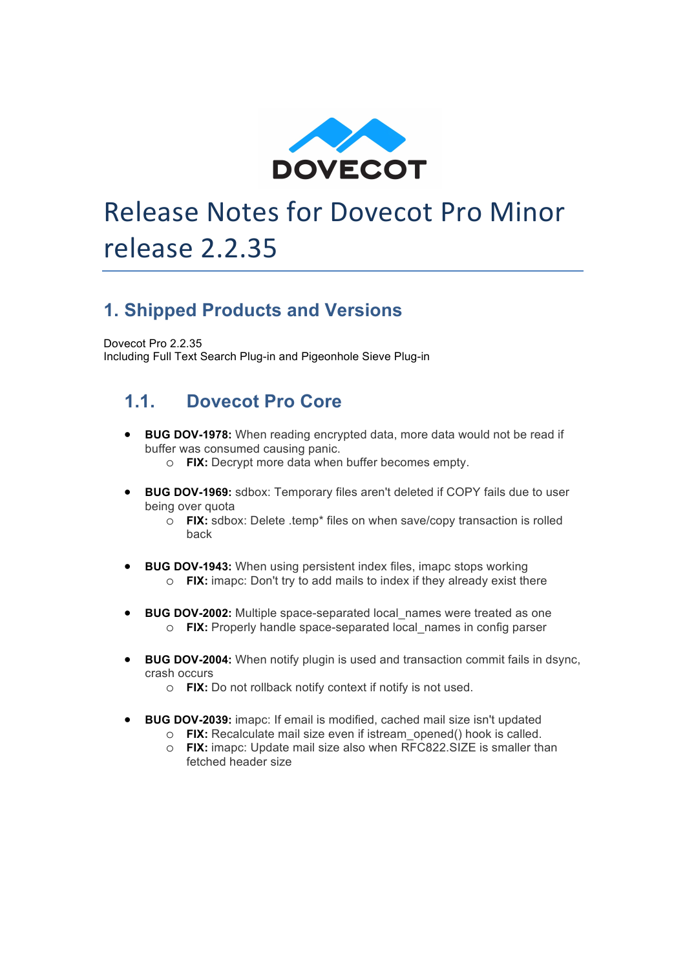

# Release Notes for Dovecot Pro Minor release 2.2.35

## **1. Shipped Products and Versions**

Dovecot Pro 2.2.35 Including Full Text Search Plug-in and Pigeonhole Sieve Plug-in

### **1.1. Dovecot Pro Core**

- **BUG DOV-1978:** When reading encrypted data, more data would not be read if buffer was consumed causing panic.
	- o **FIX:** Decrypt more data when buffer becomes empty.
- **BUG DOV-1969:** sdbox: Temporary files aren't deleted if COPY fails due to user being over quota
	- o **FIX:** sdbox: Delete .temp\* files on when save/copy transaction is rolled back
- **BUG DOV-1943:** When using persistent index files, imapc stops working o **FIX:** imapc: Don't try to add mails to index if they already exist there
- **BUG DOV-2002:** Multiple space-separated local\_names were treated as one o **FIX:** Properly handle space-separated local\_names in config parser
- **BUG DOV-2004:** When notify plugin is used and transaction commit fails in dsync, crash occurs
	- o **FIX:** Do not rollback notify context if notify is not used.
- **BUG DOV-2039:** imapc: If email is modified, cached mail size isn't updated
	- o **FIX:** Recalculate mail size even if istream\_opened() hook is called.
	- o **FIX:** imapc: Update mail size also when RFC822.SIZE is smaller than fetched header size